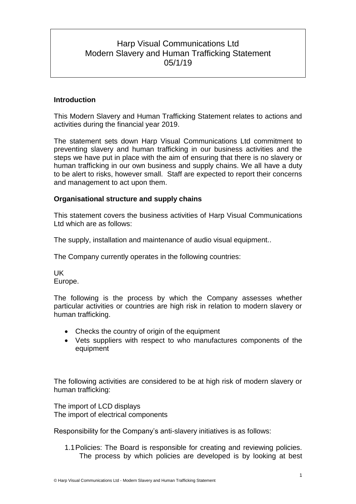# Harp Visual Communications Ltd Modern Slavery and Human Trafficking Statement 05/1/19

# **Introduction**

This Modern Slavery and Human Trafficking Statement relates to actions and activities during the financial year 2019.

The statement sets down Harp Visual Communications Ltd commitment to preventing slavery and human trafficking in our business activities and the steps we have put in place with the aim of ensuring that there is no slavery or human trafficking in our own business and supply chains. We all have a duty to be alert to risks, however small. Staff are expected to report their concerns and management to act upon them.

### **Organisational structure and supply chains**

This statement covers the business activities of Harp Visual Communications Ltd which are as follows:

The supply, installation and maintenance of audio visual equipment..

The Company currently operates in the following countries:

UK Europe.

The following is the process by which the Company assesses whether particular activities or countries are high risk in relation to modern slavery or human trafficking.

- Checks the country of origin of the equipment
- Vets suppliers with respect to who manufactures components of the equipment

The following activities are considered to be at high risk of modern slavery or human trafficking:

The import of LCD displays The import of electrical components

Responsibility for the Company's anti-slavery initiatives is as follows:

1.1Policies: The Board is responsible for creating and reviewing policies. The process by which policies are developed is by looking at best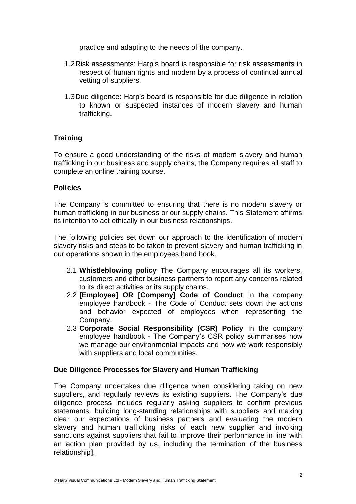practice and adapting to the needs of the company.

- 1.2Risk assessments: Harp's board is responsible for risk assessments in respect of human rights and modern by a process of continual annual vetting of suppliers.
- 1.3Due diligence: Harp's board is responsible for due diligence in relation to known or suspected instances of modern slavery and human trafficking.

# **Training**

To ensure a good understanding of the risks of modern slavery and human trafficking in our business and supply chains, the Company requires all staff to complete an online training course.

# **Policies**

The Company is committed to ensuring that there is no modern slavery or human trafficking in our business or our supply chains. This Statement affirms its intention to act ethically in our business relationships.

The following policies set down our approach to the identification of modern slavery risks and steps to be taken to prevent slavery and human trafficking in our operations shown in the employees hand book.

- 2.1 **Whistleblowing policy T**he Company encourages all its workers, customers and other business partners to report any concerns related to its direct activities or its supply chains.
- 2.2 **[Employee] OR [Company] Code of Conduct** In the company employee handbook - The Code of Conduct sets down the actions and behavior expected of employees when representing the Company.
- 2.3 **Corporate Social Responsibility (CSR) Policy** In the company employee handbook - The Company's CSR policy summarises how we manage our environmental impacts and how we work responsibly with suppliers and local communities.

# **Due Diligence Processes for Slavery and Human Trafficking**

The Company undertakes due diligence when considering taking on new suppliers, and regularly reviews its existing suppliers. The Company's due diligence process includes regularly asking suppliers to confirm previous statements, building long-standing relationships with suppliers and making clear our expectations of business partners and evaluating the modern slavery and human trafficking risks of each new supplier and invoking sanctions against suppliers that fail to improve their performance in line with an action plan provided by us, including the termination of the business relationship**]**.